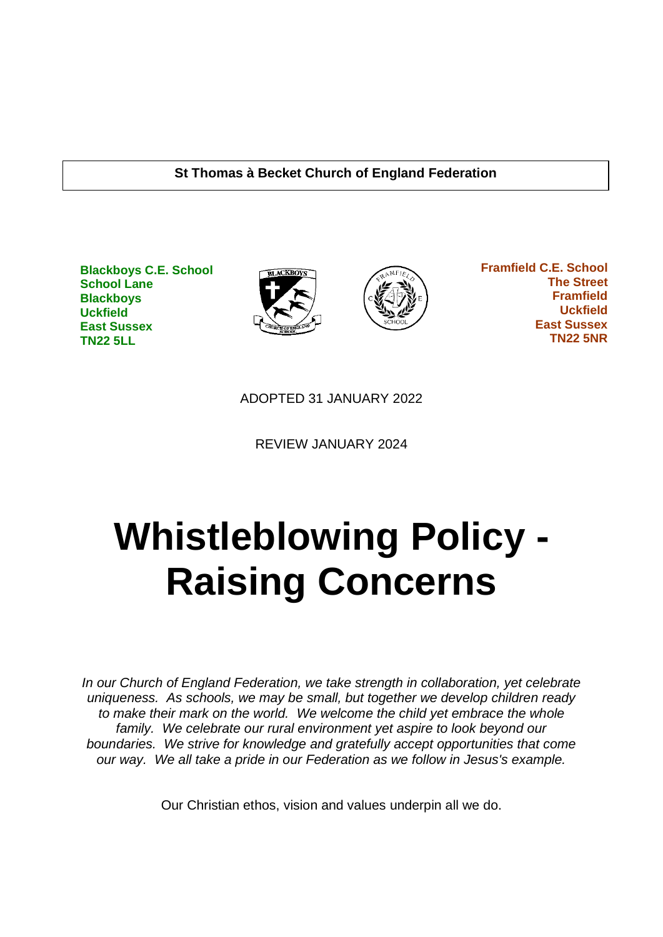#### **St Thomas à Becket Church of England Federation**

**Blackboys C.E. School School Lane Blackboys Uckfield East Sussex TN22 5LL**





 **Framfield C.E. School The Street Framfield Uckfield East Sussex TN22 5NR**

ADOPTED 31 JANUARY 2022

REVIEW JANUARY 2024

# **Whistleblowing Policy - Raising Concerns**

*In our Church of England Federation, we take strength in collaboration, yet celebrate uniqueness. As schools, we may be small, but together we develop children ready to make their mark on the world. We welcome the child yet embrace the whole family. We celebrate our rural environment yet aspire to look beyond our boundaries. We strive for knowledge and gratefully accept opportunities that come our way. We all take a pride in our Federation as we follow in Jesus's example.*

Our Christian ethos, vision and values underpin all we do.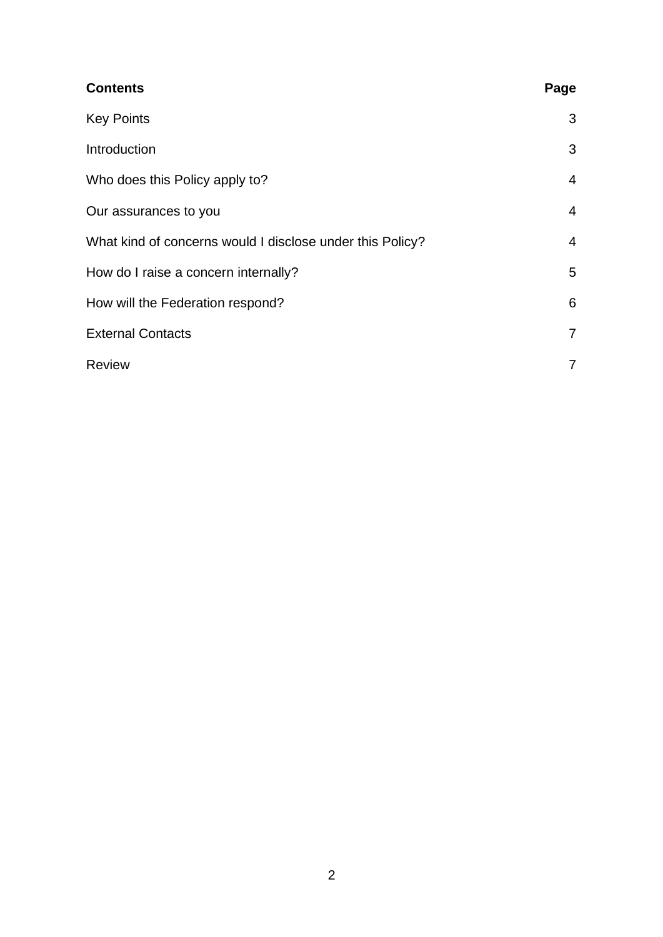| <b>Contents</b>                                           | Page           |
|-----------------------------------------------------------|----------------|
| <b>Key Points</b>                                         | 3              |
| Introduction                                              | 3              |
| Who does this Policy apply to?                            | $\overline{4}$ |
| Our assurances to you                                     | $\overline{4}$ |
| What kind of concerns would I disclose under this Policy? | $\overline{4}$ |
| How do I raise a concern internally?                      | 5              |
| How will the Federation respond?                          | 6              |
| <b>External Contacts</b>                                  | $\overline{7}$ |
| <b>Review</b>                                             | 7              |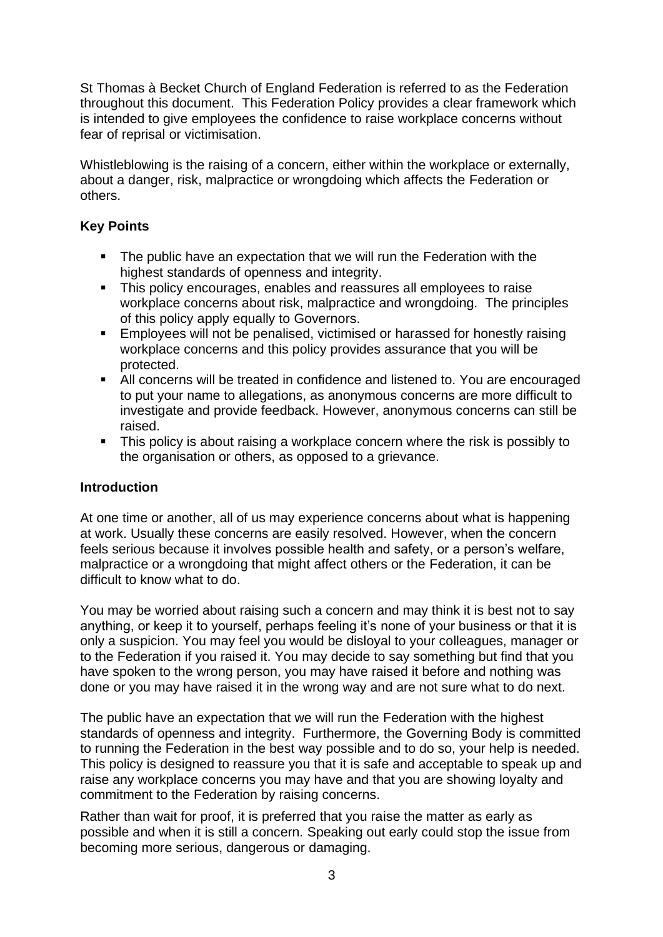St Thomas à Becket Church of England Federation is referred to as the Federation throughout this document. This Federation Policy provides a clear framework which is intended to give employees the confidence to raise workplace concerns without fear of reprisal or victimisation.

Whistleblowing is the raising of a concern, either within the workplace or externally, about a danger, risk, malpractice or wrongdoing which affects the Federation or others.

# **Key Points**

- The public have an expectation that we will run the Federation with the highest standards of openness and integrity.
- **EXECT** This policy encourages, enables and reassures all employees to raise workplace concerns about risk, malpractice and wrongdoing. The principles of this policy apply equally to Governors.
- Employees will not be penalised, victimised or harassed for honestly raising workplace concerns and this policy provides assurance that you will be protected.
- All concerns will be treated in confidence and listened to. You are encouraged to put your name to allegations, as anonymous concerns are more difficult to investigate and provide feedback. However, anonymous concerns can still be raised.
- **EXTE:** This policy is about raising a workplace concern where the risk is possibly to the organisation or others, as opposed to a grievance.

# **Introduction**

At one time or another, all of us may experience concerns about what is happening at work. Usually these concerns are easily resolved. However, when the concern feels serious because it involves possible health and safety, or a person's welfare, malpractice or a wrongdoing that might affect others or the Federation, it can be difficult to know what to do.

You may be worried about raising such a concern and may think it is best not to say anything, or keep it to yourself, perhaps feeling it's none of your business or that it is only a suspicion. You may feel you would be disloyal to your colleagues, manager or to the Federation if you raised it. You may decide to say something but find that you have spoken to the wrong person, you may have raised it before and nothing was done or you may have raised it in the wrong way and are not sure what to do next.

The public have an expectation that we will run the Federation with the highest standards of openness and integrity. Furthermore, the Governing Body is committed to running the Federation in the best way possible and to do so, your help is needed. This policy is designed to reassure you that it is safe and acceptable to speak up and raise any workplace concerns you may have and that you are showing loyalty and commitment to the Federation by raising concerns.

Rather than wait for proof, it is preferred that you raise the matter as early as possible and when it is still a concern. Speaking out early could stop the issue from becoming more serious, dangerous or damaging.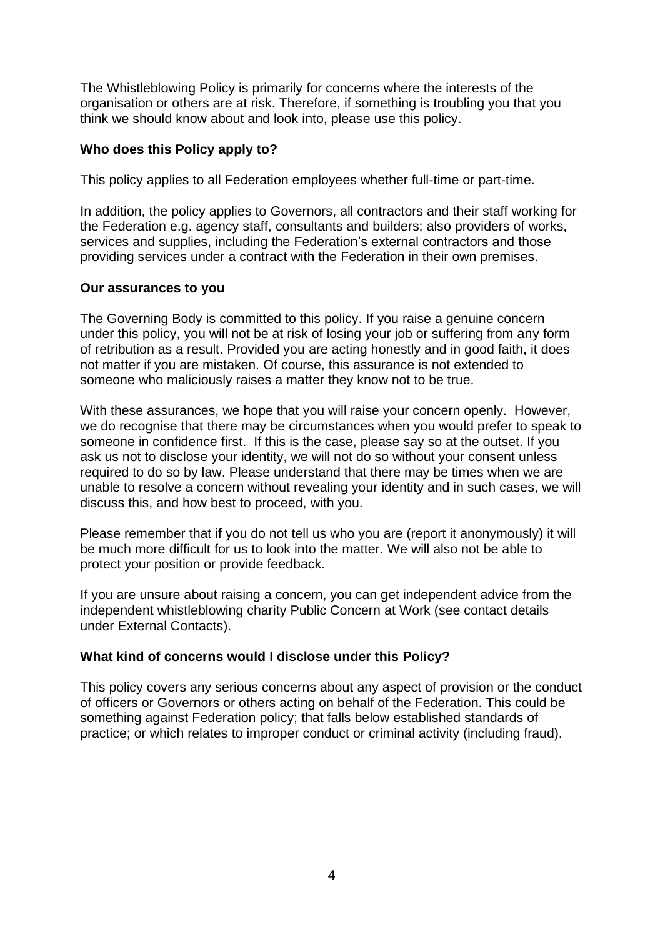The Whistleblowing Policy is primarily for concerns where the interests of the organisation or others are at risk. Therefore, if something is troubling you that you think we should know about and look into, please use this policy.

#### **Who does this Policy apply to?**

This policy applies to all Federation employees whether full-time or part-time.

In addition, the policy applies to Governors, all contractors and their staff working for the Federation e.g. agency staff, consultants and builders; also providers of works, services and supplies, including the Federation's external contractors and those providing services under a contract with the Federation in their own premises.

#### **Our assurances to you**

The Governing Body is committed to this policy. If you raise a genuine concern under this policy, you will not be at risk of losing your job or suffering from any form of retribution as a result. Provided you are acting honestly and in good faith, it does not matter if you are mistaken. Of course, this assurance is not extended to someone who maliciously raises a matter they know not to be true.

With these assurances, we hope that you will raise your concern openly. However, we do recognise that there may be circumstances when you would prefer to speak to someone in confidence first. If this is the case, please say so at the outset. If you ask us not to disclose your identity, we will not do so without your consent unless required to do so by law. Please understand that there may be times when we are unable to resolve a concern without revealing your identity and in such cases, we will discuss this, and how best to proceed, with you.

Please remember that if you do not tell us who you are (report it anonymously) it will be much more difficult for us to look into the matter. We will also not be able to protect your position or provide feedback.

If you are unsure about raising a concern, you can get independent advice from the independent whistleblowing charity Public Concern at Work (see contact details under External Contacts).

#### **What kind of concerns would I disclose under this Policy?**

This policy covers any serious concerns about any aspect of provision or the conduct of officers or Governors or others acting on behalf of the Federation. This could be something against Federation policy; that falls below established standards of practice; or which relates to improper conduct or criminal activity (including fraud).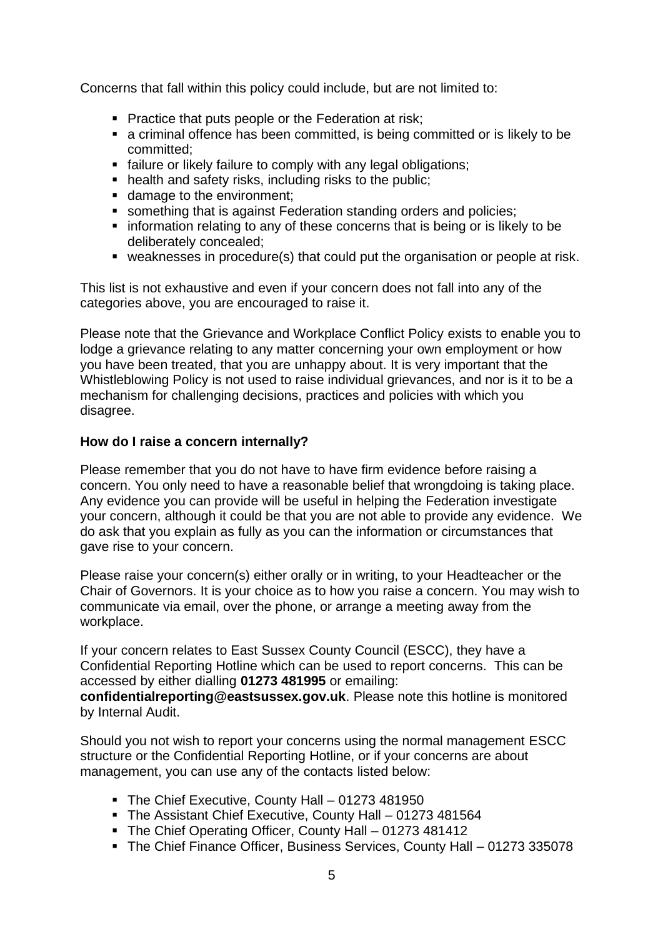Concerns that fall within this policy could include, but are not limited to:

- Practice that puts people or the Federation at risk;
- a criminal offence has been committed, is being committed or is likely to be committed;
- **E** failure or likely failure to comply with any legal obligations;
- health and safety risks, including risks to the public:
- damage to the environment;
- something that is against Federation standing orders and policies;
- **EX information relating to any of these concerns that is being or is likely to be** deliberately concealed;
- weaknesses in procedure(s) that could put the organisation or people at risk.

This list is not exhaustive and even if your concern does not fall into any of the categories above, you are encouraged to raise it.

Please note that the Grievance and Workplace Conflict Policy exists to enable you to lodge a grievance relating to any matter concerning your own employment or how you have been treated, that you are unhappy about. It is very important that the Whistleblowing Policy is not used to raise individual grievances, and nor is it to be a mechanism for challenging decisions, practices and policies with which you disagree.

#### **How do I raise a concern internally?**

Please remember that you do not have to have firm evidence before raising a concern. You only need to have a reasonable belief that wrongdoing is taking place. Any evidence you can provide will be useful in helping the Federation investigate your concern, although it could be that you are not able to provide any evidence. We do ask that you explain as fully as you can the information or circumstances that gave rise to your concern.

Please raise your concern(s) either orally or in writing, to your Headteacher or the Chair of Governors. It is your choice as to how you raise a concern. You may wish to communicate via email, over the phone, or arrange a meeting away from the workplace.

If your concern relates to East Sussex County Council (ESCC), they have a Confidential Reporting Hotline which can be used to report concerns. This can be accessed by either dialling **01273 481995** or emailing:

**[confidentialreporting@eastsussex.gov.uk](mailto:confidentialreporting@eastsussex.gov.uk)**. Please note this hotline is monitored by Internal Audit.

Should you not wish to report your concerns using the normal management ESCC structure or the Confidential Reporting Hotline, or if your concerns are about management, you can use any of the contacts listed below:

- The Chief Executive, County Hall 01273 481950
- The Assistant Chief Executive, County Hall 01273 481564
- The Chief Operating Officer, County Hall 01273 481412
- The Chief Finance Officer, Business Services, County Hall 01273 335078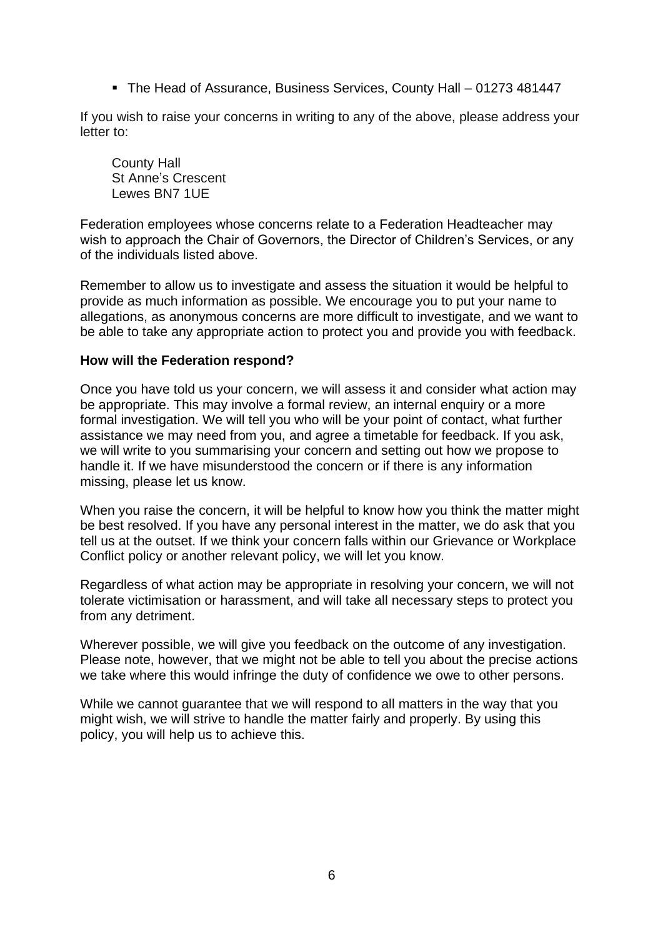■ The Head of Assurance, Business Services, County Hall – 01273 481447

If you wish to raise your concerns in writing to any of the above, please address your letter to:

County Hall St Anne's Crescent Lewes BN7 1UE

Federation employees whose concerns relate to a Federation Headteacher may wish to approach the Chair of Governors, the Director of Children's Services, or any of the individuals listed above.

Remember to allow us to investigate and assess the situation it would be helpful to provide as much information as possible. We encourage you to put your name to allegations, as anonymous concerns are more difficult to investigate, and we want to be able to take any appropriate action to protect you and provide you with feedback.

#### **How will the Federation respond?**

Once you have told us your concern, we will assess it and consider what action may be appropriate. This may involve a formal review, an internal enquiry or a more formal investigation. We will tell you who will be your point of contact, what further assistance we may need from you, and agree a timetable for feedback. If you ask, we will write to you summarising your concern and setting out how we propose to handle it. If we have misunderstood the concern or if there is any information missing, please let us know.

When you raise the concern, it will be helpful to know how you think the matter might be best resolved. If you have any personal interest in the matter, we do ask that you tell us at the outset. If we think your concern falls within our Grievance or Workplace Conflict policy or another relevant policy, we will let you know.

Regardless of what action may be appropriate in resolving your concern, we will not tolerate victimisation or harassment, and will take all necessary steps to protect you from any detriment.

Wherever possible, we will give you feedback on the outcome of any investigation. Please note, however, that we might not be able to tell you about the precise actions we take where this would infringe the duty of confidence we owe to other persons.

While we cannot guarantee that we will respond to all matters in the way that you might wish, we will strive to handle the matter fairly and properly. By using this policy, you will help us to achieve this.